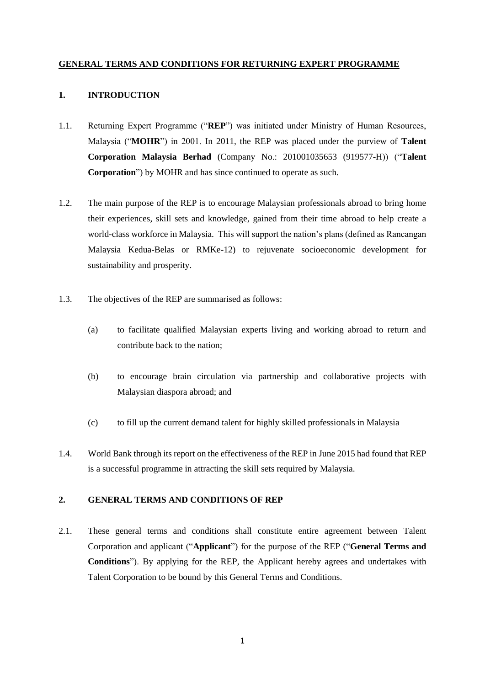### **GENERAL TERMS AND CONDITIONS FOR RETURNING EXPERT PROGRAMME**

### **1. INTRODUCTION**

- 1.1. Returning Expert Programme ("**REP**") was initiated under Ministry of Human Resources, Malaysia ("**MOHR**") in 2001. In 2011, the REP was placed under the purview of **Talent Corporation Malaysia Berhad** (Company No.: 201001035653 (919577-H)) ("**Talent Corporation**") by MOHR and has since continued to operate as such.
- 1.2. The main purpose of the REP is to encourage Malaysian professionals abroad to bring home their experiences, skill sets and knowledge, gained from their time abroad to help create a world-class workforce in Malaysia. This will support the nation's plans (defined as Rancangan Malaysia Kedua-Belas or RMKe-12) to rejuvenate socioeconomic development for sustainability and prosperity.
- 1.3. The objectives of the REP are summarised as follows:
	- (a) to facilitate qualified Malaysian experts living and working abroad to return and contribute back to the nation;
	- (b) to encourage brain circulation via partnership and collaborative projects with Malaysian diaspora abroad; and
	- (c) to fill up the current demand talent for highly skilled professionals in Malaysia
- 1.4. World Bank through its report on the effectiveness of the REP in June 2015 had found that REP is a successful programme in attracting the skill sets required by Malaysia.

### **2. GENERAL TERMS AND CONDITIONS OF REP**

2.1. These general terms and conditions shall constitute entire agreement between Talent Corporation and applicant ("**Applicant**") for the purpose of the REP ("**General Terms and Conditions**"). By applying for the REP, the Applicant hereby agrees and undertakes with Talent Corporation to be bound by this General Terms and Conditions.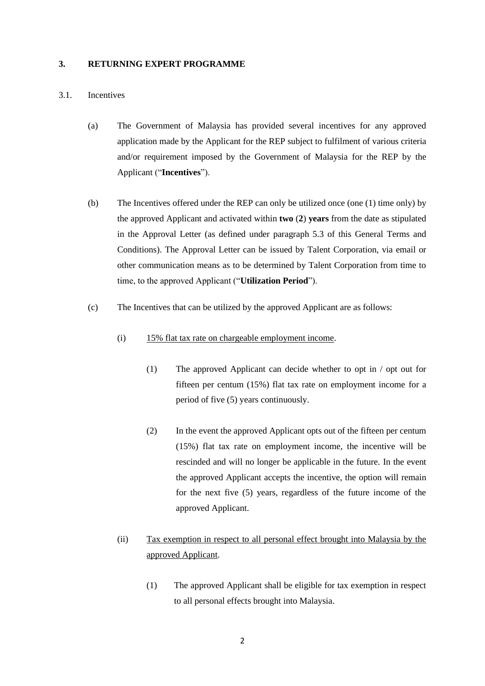#### **3. RETURNING EXPERT PROGRAMME**

#### 3.1. Incentives

- (a) The Government of Malaysia has provided several incentives for any approved application made by the Applicant for the REP subject to fulfilment of various criteria and/or requirement imposed by the Government of Malaysia for the REP by the Applicant ("**Incentives**").
- (b) The Incentives offered under the REP can only be utilized once (one (1) time only) by the approved Applicant and activated within **two** (**2**) **years** from the date as stipulated in the Approval Letter (as defined under paragraph 5.3 of this General Terms and Conditions). The Approval Letter can be issued by Talent Corporation, via email or other communication means as to be determined by Talent Corporation from time to time, to the approved Applicant ("**Utilization Period**").
- (c) The Incentives that can be utilized by the approved Applicant are as follows:
	- (i) 15% flat tax rate on chargeable employment income.
		- (1) The approved Applicant can decide whether to opt in / opt out for fifteen per centum (15%) flat tax rate on employment income for a period of five (5) years continuously.
		- (2) In the event the approved Applicant opts out of the fifteen per centum (15%) flat tax rate on employment income, the incentive will be rescinded and will no longer be applicable in the future. In the event the approved Applicant accepts the incentive, the option will remain for the next five (5) years, regardless of the future income of the approved Applicant.

# (ii) Tax exemption in respect to all personal effect brought into Malaysia by the approved Applicant.

(1) The approved Applicant shall be eligible for tax exemption in respect to all personal effects brought into Malaysia.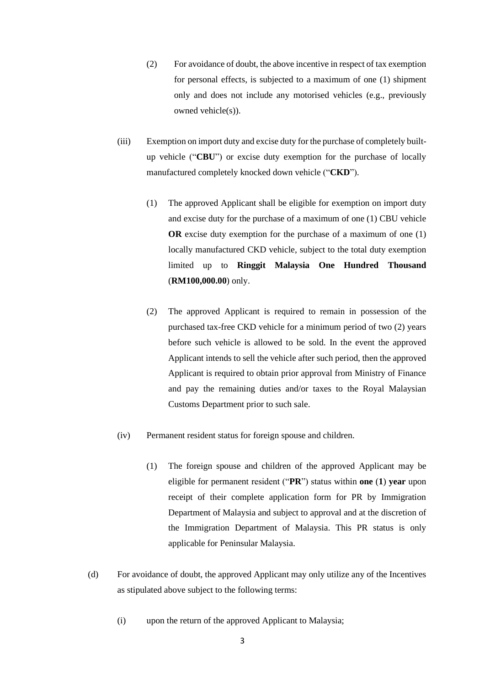- (2) For avoidance of doubt, the above incentive in respect of tax exemption for personal effects, is subjected to a maximum of one (1) shipment only and does not include any motorised vehicles (e.g., previously owned vehicle(s)).
- (iii) Exemption on import duty and excise duty for the purchase of completely builtup vehicle ("**CBU**") or excise duty exemption for the purchase of locally manufactured completely knocked down vehicle ("**CKD**").
	- (1) The approved Applicant shall be eligible for exemption on import duty and excise duty for the purchase of a maximum of one (1) CBU vehicle **OR** excise duty exemption for the purchase of a maximum of one (1) locally manufactured CKD vehicle, subject to the total duty exemption limited up to **Ringgit Malaysia One Hundred Thousand** (**RM100,000.00**) only.
	- (2) The approved Applicant is required to remain in possession of the purchased tax-free CKD vehicle for a minimum period of two (2) years before such vehicle is allowed to be sold. In the event the approved Applicant intends to sell the vehicle after such period, then the approved Applicant is required to obtain prior approval from Ministry of Finance and pay the remaining duties and/or taxes to the Royal Malaysian Customs Department prior to such sale.
- (iv) Permanent resident status for foreign spouse and children.
	- (1) The foreign spouse and children of the approved Applicant may be eligible for permanent resident ("**PR**") status within **one** (**1**) **year** upon receipt of their complete application form for PR by Immigration Department of Malaysia and subject to approval and at the discretion of the Immigration Department of Malaysia. This PR status is only applicable for Peninsular Malaysia.
- (d) For avoidance of doubt, the approved Applicant may only utilize any of the Incentives as stipulated above subject to the following terms:
	- (i) upon the return of the approved Applicant to Malaysia;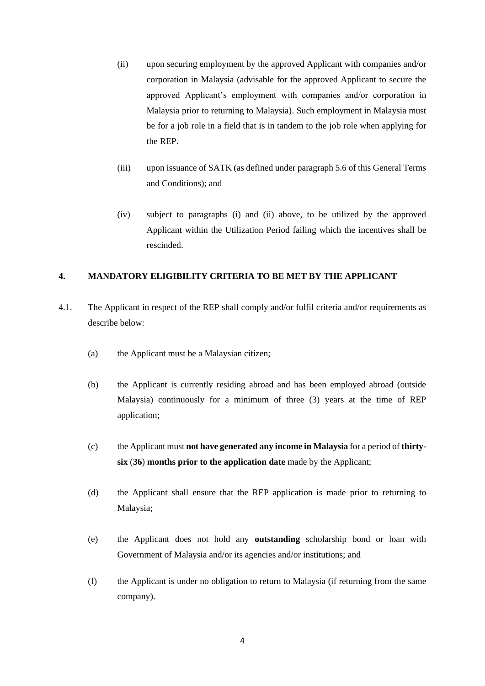- (ii) upon securing employment by the approved Applicant with companies and/or corporation in Malaysia (advisable for the approved Applicant to secure the approved Applicant's employment with companies and/or corporation in Malaysia prior to returning to Malaysia). Such employment in Malaysia must be for a job role in a field that is in tandem to the job role when applying for the REP.
- (iii) upon issuance of SATK (as defined under paragraph 5.6 of this General Terms and Conditions); and
- (iv) subject to paragraphs (i) and (ii) above, to be utilized by the approved Applicant within the Utilization Period failing which the incentives shall be rescinded.

# **4. MANDATORY ELIGIBILITY CRITERIA TO BE MET BY THE APPLICANT**

- 4.1. The Applicant in respect of the REP shall comply and/or fulfil criteria and/or requirements as describe below:
	- (a) the Applicant must be a Malaysian citizen;
	- (b) the Applicant is currently residing abroad and has been employed abroad (outside Malaysia) continuously for a minimum of three (3) years at the time of REP application;
	- (c) the Applicant must **not have generated any income in Malaysia** for a period of **thirtysix** (**36**) **months prior to the application date** made by the Applicant;
	- (d) the Applicant shall ensure that the REP application is made prior to returning to Malaysia;
	- (e) the Applicant does not hold any **outstanding** scholarship bond or loan with Government of Malaysia and/or its agencies and/or institutions; and
	- (f) the Applicant is under no obligation to return to Malaysia (if returning from the same company).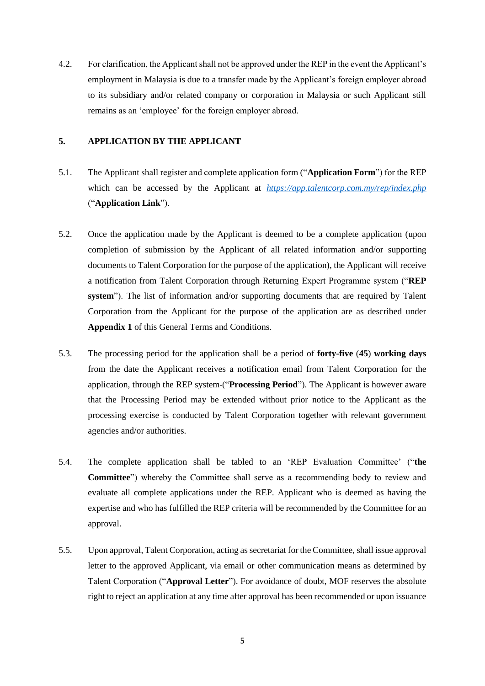4.2. For clarification, the Applicant shall not be approved under the REP in the event the Applicant's employment in Malaysia is due to a transfer made by the Applicant's foreign employer abroad to its subsidiary and/or related company or corporation in Malaysia or such Applicant still remains as an 'employee' for the foreign employer abroad.

## **5. APPLICATION BY THE APPLICANT**

- 5.1. The Applicant shall register and complete application form ("**Application Form**") for the REP which can be accessed by the Applicant at  $<https://app.talentcorp.com.mv/rep/index.php>$ ("**Application Link**").
- 5.2. Once the application made by the Applicant is deemed to be a complete application (upon completion of submission by the Applicant of all related information and/or supporting documents to Talent Corporation for the purpose of the application), the Applicant will receive a notification from Talent Corporation through Returning Expert Programme system ("**REP system**"). The list of information and/or supporting documents that are required by Talent Corporation from the Applicant for the purpose of the application are as described under **Appendix 1** of this General Terms and Conditions.
- 5.3. The processing period for the application shall be a period of **forty-five** (**45**) **working days** from the date the Applicant receives a notification email from Talent Corporation for the application, through the REP system ("**Processing Period**"). The Applicant is however aware that the Processing Period may be extended without prior notice to the Applicant as the processing exercise is conducted by Talent Corporation together with relevant government agencies and/or authorities.
- 5.4. The complete application shall be tabled to an 'REP Evaluation Committee' ("**the Committee**") whereby the Committee shall serve as a recommending body to review and evaluate all complete applications under the REP. Applicant who is deemed as having the expertise and who has fulfilled the REP criteria will be recommended by the Committee for an approval.
- 5.5. Upon approval, Talent Corporation, acting as secretariat for the Committee, shall issue approval letter to the approved Applicant, via email or other communication means as determined by Talent Corporation ("**Approval Letter**"). For avoidance of doubt, MOF reserves the absolute right to reject an application at any time after approval has been recommended or upon issuance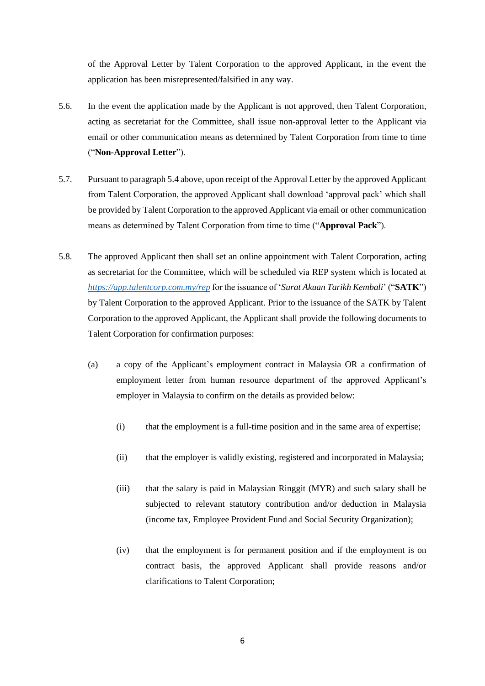of the Approval Letter by Talent Corporation to the approved Applicant, in the event the application has been misrepresented/falsified in any way.

- 5.6. In the event the application made by the Applicant is not approved, then Talent Corporation, acting as secretariat for the Committee, shall issue non-approval letter to the Applicant via email or other communication means as determined by Talent Corporation from time to time ("**Non-Approval Letter**").
- 5.7. Pursuant to paragraph 5.4 above, upon receipt of the Approval Letter by the approved Applicant from Talent Corporation, the approved Applicant shall download 'approval pack' which shall be provided by Talent Corporation to the approved Applicant via email or other communication means as determined by Talent Corporation from time to time ("**Approval Pack**").
- 5.8. The approved Applicant then shall set an online appointment with Talent Corporation, acting as secretariat for the Committee, which will be scheduled via REP system which is located at *<https://app.talentcorp.com.my/rep>* for the issuance of '*Surat Akuan Tarikh Kembali*' ("**SATK**") by Talent Corporation to the approved Applicant. Prior to the issuance of the SATK by Talent Corporation to the approved Applicant, the Applicant shall provide the following documents to Talent Corporation for confirmation purposes:
	- (a) a copy of the Applicant's employment contract in Malaysia OR a confirmation of employment letter from human resource department of the approved Applicant's employer in Malaysia to confirm on the details as provided below:
		- (i) that the employment is a full-time position and in the same area of expertise;
		- (ii) that the employer is validly existing, registered and incorporated in Malaysia;
		- (iii) that the salary is paid in Malaysian Ringgit (MYR) and such salary shall be subjected to relevant statutory contribution and/or deduction in Malaysia (income tax, Employee Provident Fund and Social Security Organization);
		- (iv) that the employment is for permanent position and if the employment is on contract basis, the approved Applicant shall provide reasons and/or clarifications to Talent Corporation;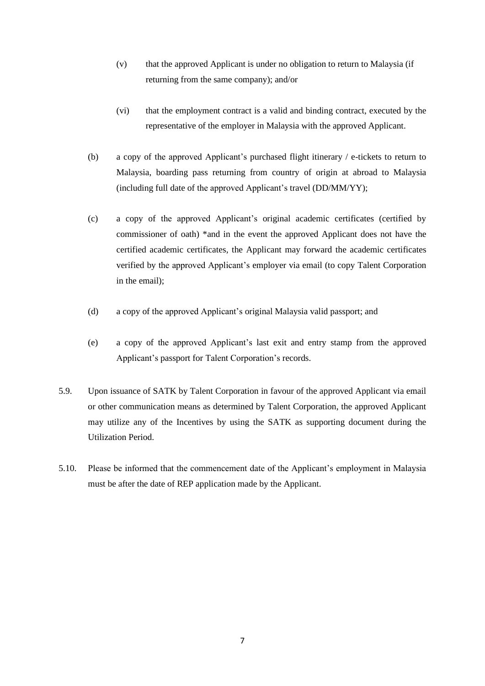- (v) that the approved Applicant is under no obligation to return to Malaysia (if returning from the same company); and/or
- (vi) that the employment contract is a valid and binding contract, executed by the representative of the employer in Malaysia with the approved Applicant.
- (b) a copy of the approved Applicant's purchased flight itinerary / e-tickets to return to Malaysia, boarding pass returning from country of origin at abroad to Malaysia (including full date of the approved Applicant's travel (DD/MM/YY);
- (c) a copy of the approved Applicant's original academic certificates (certified by commissioner of oath) \*and in the event the approved Applicant does not have the certified academic certificates, the Applicant may forward the academic certificates verified by the approved Applicant's employer via email (to copy Talent Corporation in the email);
- (d) a copy of the approved Applicant's original Malaysia valid passport; and
- (e) a copy of the approved Applicant's last exit and entry stamp from the approved Applicant's passport for Talent Corporation's records.
- 5.9. Upon issuance of SATK by Talent Corporation in favour of the approved Applicant via email or other communication means as determined by Talent Corporation, the approved Applicant may utilize any of the Incentives by using the SATK as supporting document during the Utilization Period.
- 5.10. Please be informed that the commencement date of the Applicant's employment in Malaysia must be after the date of REP application made by the Applicant.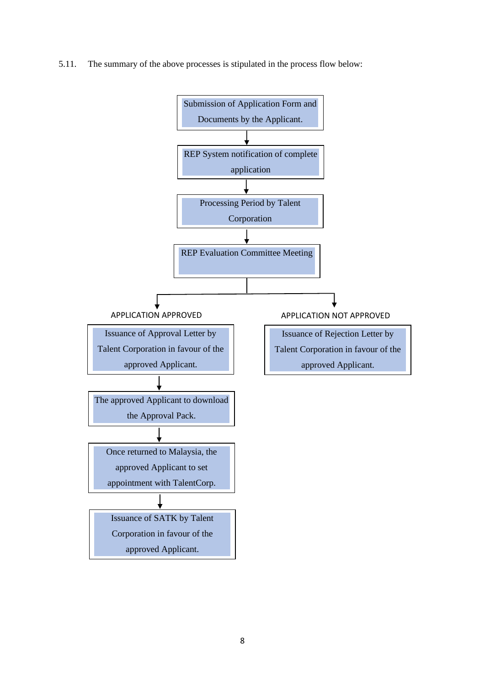5.11. The summary of the above processes is stipulated in the process flow below:

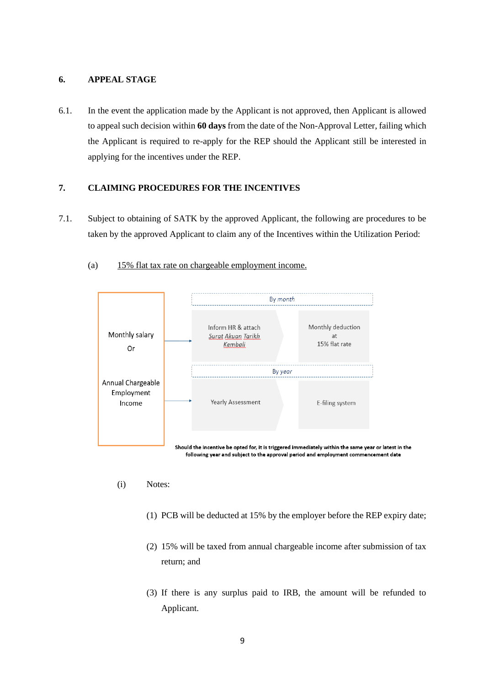### **6. APPEAL STAGE**

6.1. In the event the application made by the Applicant is not approved, then Applicant is allowed to appeal such decision within **60 days** from the date of the Non-Approval Letter, failing which the Applicant is required to re-apply for the REP should the Applicant still be interested in applying for the incentives under the REP.

## **7. CLAIMING PROCEDURES FOR THE INCENTIVES**

7.1. Subject to obtaining of SATK by the approved Applicant, the following are procedures to be taken by the approved Applicant to claim any of the Incentives within the Utilization Period:



(a) 15% flat tax rate on chargeable employment income.

- (i) Notes:
	- (1) PCB will be deducted at 15% by the employer before the REP expiry date;
	- (2) 15% will be taxed from annual chargeable income after submission of tax return; and
	- (3) If there is any surplus paid to IRB, the amount will be refunded to Applicant.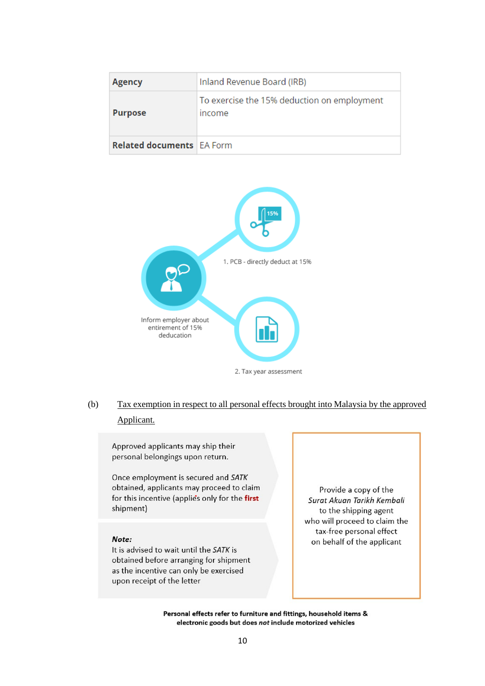| <b>Agency</b>                    | Inland Revenue Board (IRB)                            |
|----------------------------------|-------------------------------------------------------|
| <b>Purpose</b>                   | To exercise the 15% deduction on employment<br>income |
| <b>Related documents EA Form</b> |                                                       |



# (b) Tax exemption in respect to all personal effects brought into Malaysia by the approved Applicant.

Approved applicants may ship their personal belongings upon return.

Once employment is secured and SATK obtained, applicants may proceed to claim for this incentive (applie's only for the first shipment)

### Note:

It is advised to wait until the SATK is obtained before arranging for shipment as the incentive can only be exercised upon receipt of the letter

Provide a copy of the Surat Akuan Tarikh Kembali to the shipping agent who will proceed to claim the tax-free personal effect on behalf of the applicant

Personal effects refer to furniture and fittings, household items & electronic goods but does not include motorized vehicles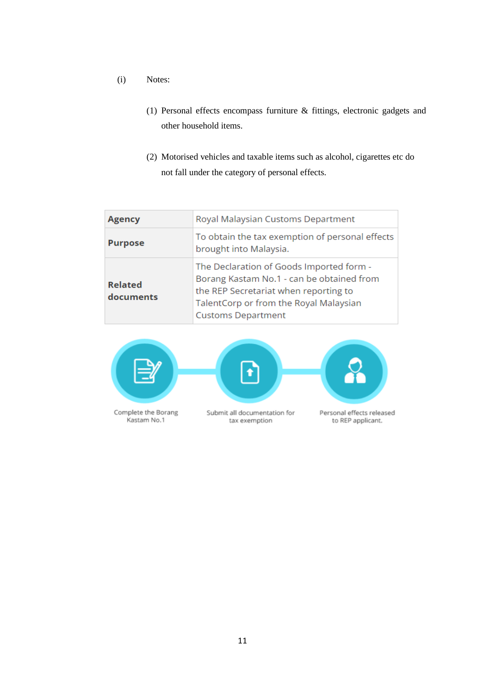- (i) Notes:
	- (1) Personal effects encompass furniture & fittings, electronic gadgets and other household items.
	- (2) Motorised vehicles and taxable items such as alcohol, cigarettes etc do not fall under the category of personal effects.

| <b>Agency</b>               | Royal Malaysian Customs Department                                                                                                                                                                    |
|-----------------------------|-------------------------------------------------------------------------------------------------------------------------------------------------------------------------------------------------------|
| <b>Purpose</b>              | To obtain the tax exemption of personal effects<br>brought into Malaysia.                                                                                                                             |
| <b>Related</b><br>documents | The Declaration of Goods Imported form -<br>Borang Kastam No.1 - can be obtained from<br>the REP Secretariat when reporting to<br>TalentCorp or from the Royal Malaysian<br><b>Customs Department</b> |

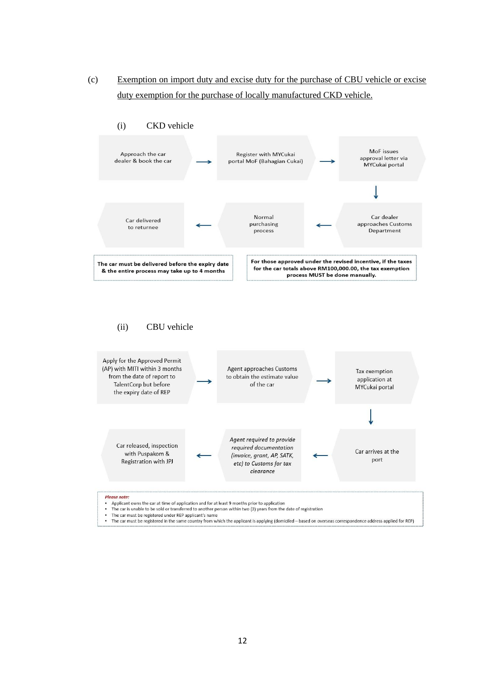(c) Exemption on import duty and excise duty for the purchase of CBU vehicle or excise duty exemption for the purchase of locally manufactured CKD vehicle.

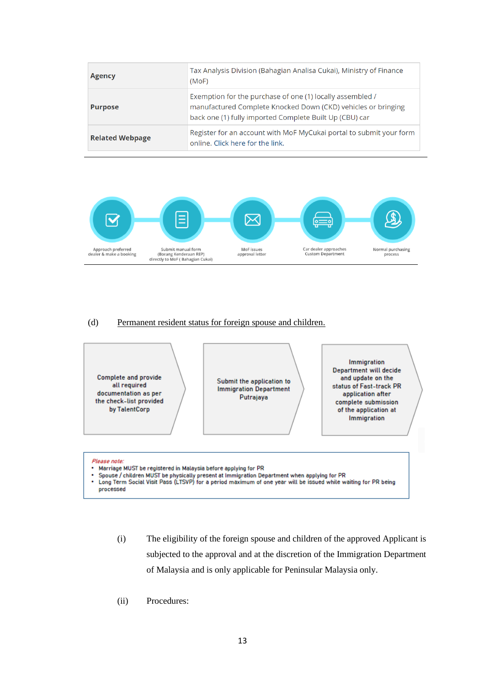| <b>Agency</b>          | Tax Analysis Division (Bahagian Analisa Cukai), Ministry of Finance<br>(MoF)                                                                                                          |
|------------------------|---------------------------------------------------------------------------------------------------------------------------------------------------------------------------------------|
| <b>Purpose</b>         | Exemption for the purchase of one (1) locally assembled /<br>manufactured Complete Knocked Down (CKD) vehicles or bringing<br>back one (1) fully imported Complete Built Up (CBU) car |
| <b>Related Webpage</b> | Register for an account with MoF MyCukai portal to submit your form<br>online. Click here for the link.                                                                               |



#### (d) Permanent resident status for foreign spouse and children.



- (i) The eligibility of the foreign spouse and children of the approved Applicant is subjected to the approval and at the discretion of the Immigration Department of Malaysia and is only applicable for Peninsular Malaysia only.
- (ii) Procedures: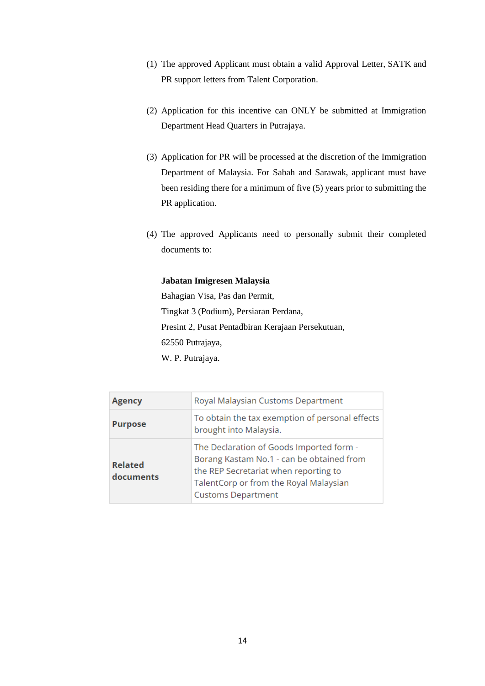- (1) The approved Applicant must obtain a valid Approval Letter, SATK and PR support letters from Talent Corporation.
- (2) Application for this incentive can ONLY be submitted at Immigration Department Head Quarters in Putrajaya.
- (3) Application for PR will be processed at the discretion of the Immigration Department of Malaysia. For Sabah and Sarawak, applicant must have been residing there for a minimum of five (5) years prior to submitting the PR application.
- (4) The approved Applicants need to personally submit their completed documents to:

#### **Jabatan Imigresen Malaysia**

Bahagian Visa, Pas dan Permit, Tingkat 3 (Podium), Persiaran Perdana, Presint 2, Pusat Pentadbiran Kerajaan Persekutuan, 62550 Putrajaya, W. P. Putrajaya.

| Agency                      | Royal Malaysian Customs Department                                                                                                                                                                    |
|-----------------------------|-------------------------------------------------------------------------------------------------------------------------------------------------------------------------------------------------------|
| <b>Purpose</b>              | To obtain the tax exemption of personal effects<br>brought into Malaysia.                                                                                                                             |
| <b>Related</b><br>documents | The Declaration of Goods Imported form -<br>Borang Kastam No.1 - can be obtained from<br>the REP Secretariat when reporting to<br>TalentCorp or from the Royal Malaysian<br><b>Customs Department</b> |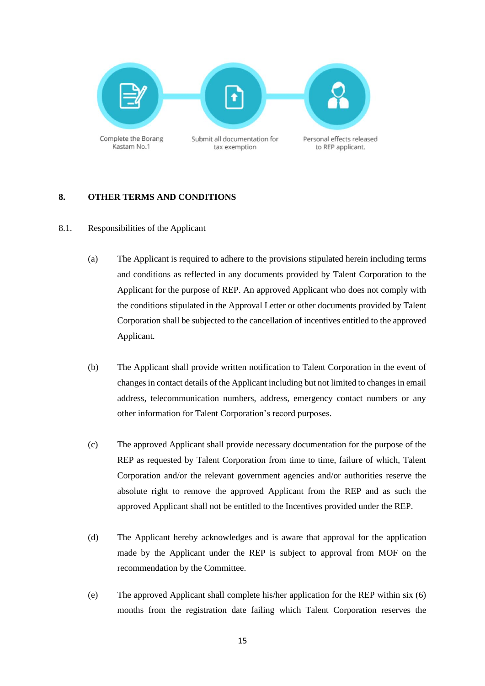

# **8. OTHER TERMS AND CONDITIONS**

### 8.1. Responsibilities of the Applicant

- (a) The Applicant is required to adhere to the provisions stipulated herein including terms and conditions as reflected in any documents provided by Talent Corporation to the Applicant for the purpose of REP. An approved Applicant who does not comply with the conditions stipulated in the Approval Letter or other documents provided by Talent Corporation shall be subjected to the cancellation of incentives entitled to the approved Applicant.
- (b) The Applicant shall provide written notification to Talent Corporation in the event of changes in contact details of the Applicant including but not limited to changes in email address, telecommunication numbers, address, emergency contact numbers or any other information for Talent Corporation's record purposes.
- (c) The approved Applicant shall provide necessary documentation for the purpose of the REP as requested by Talent Corporation from time to time, failure of which, Talent Corporation and/or the relevant government agencies and/or authorities reserve the absolute right to remove the approved Applicant from the REP and as such the approved Applicant shall not be entitled to the Incentives provided under the REP.
- (d) The Applicant hereby acknowledges and is aware that approval for the application made by the Applicant under the REP is subject to approval from MOF on the recommendation by the Committee.
- (e) The approved Applicant shall complete his/her application for the REP within six (6) months from the registration date failing which Talent Corporation reserves the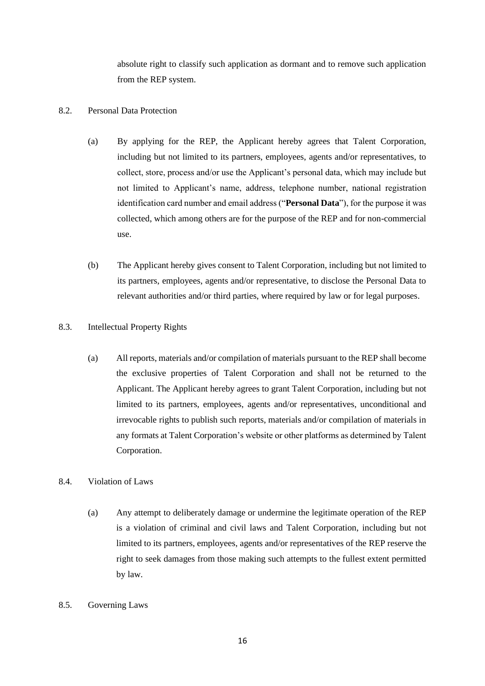absolute right to classify such application as dormant and to remove such application from the REP system.

### 8.2. Personal Data Protection

- (a) By applying for the REP, the Applicant hereby agrees that Talent Corporation, including but not limited to its partners, employees, agents and/or representatives, to collect, store, process and/or use the Applicant's personal data, which may include but not limited to Applicant's name, address, telephone number, national registration identification card number and email address ("**Personal Data**"), for the purpose it was collected, which among others are for the purpose of the REP and for non-commercial use.
- (b) The Applicant hereby gives consent to Talent Corporation, including but not limited to its partners, employees, agents and/or representative, to disclose the Personal Data to relevant authorities and/or third parties, where required by law or for legal purposes.

### 8.3. Intellectual Property Rights

(a) All reports, materials and/or compilation of materials pursuant to the REP shall become the exclusive properties of Talent Corporation and shall not be returned to the Applicant. The Applicant hereby agrees to grant Talent Corporation, including but not limited to its partners, employees, agents and/or representatives, unconditional and irrevocable rights to publish such reports, materials and/or compilation of materials in any formats at Talent Corporation's website or other platforms as determined by Talent Corporation.

# 8.4. Violation of Laws

(a) Any attempt to deliberately damage or undermine the legitimate operation of the REP is a violation of criminal and civil laws and Talent Corporation, including but not limited to its partners, employees, agents and/or representatives of the REP reserve the right to seek damages from those making such attempts to the fullest extent permitted by law.

### 8.5. Governing Laws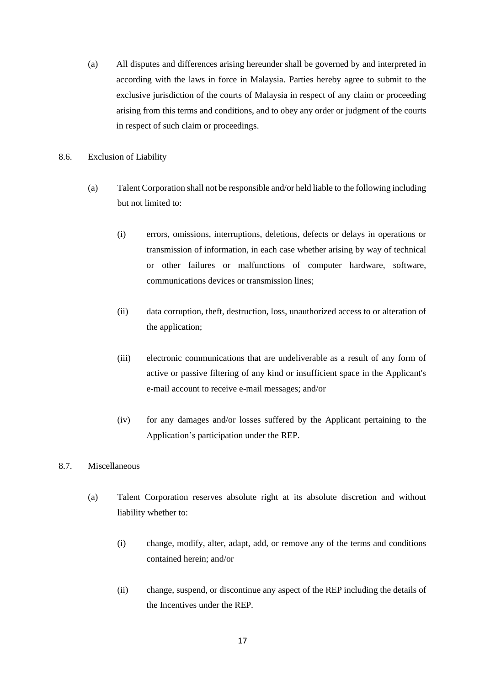- (a) All disputes and differences arising hereunder shall be governed by and interpreted in according with the laws in force in Malaysia. Parties hereby agree to submit to the exclusive jurisdiction of the courts of Malaysia in respect of any claim or proceeding arising from this terms and conditions, and to obey any order or judgment of the courts in respect of such claim or proceedings.
- 8.6. Exclusion of Liability
	- (a) Talent Corporation shall not be responsible and/or held liable to the following including but not limited to:
		- (i) errors, omissions, interruptions, deletions, defects or delays in operations or transmission of information, in each case whether arising by way of technical or other failures or malfunctions of computer hardware, software, communications devices or transmission lines;
		- (ii) data corruption, theft, destruction, loss, unauthorized access to or alteration of the application;
		- (iii) electronic communications that are undeliverable as a result of any form of active or passive filtering of any kind or insufficient space in the Applicant's e-mail account to receive e-mail messages; and/or
		- (iv) for any damages and/or losses suffered by the Applicant pertaining to the Application's participation under the REP.

# 8.7. Miscellaneous

- (a) Talent Corporation reserves absolute right at its absolute discretion and without liability whether to:
	- (i) change, modify, alter, adapt, add, or remove any of the terms and conditions contained herein; and/or
	- (ii) change, suspend, or discontinue any aspect of the REP including the details of the Incentives under the REP.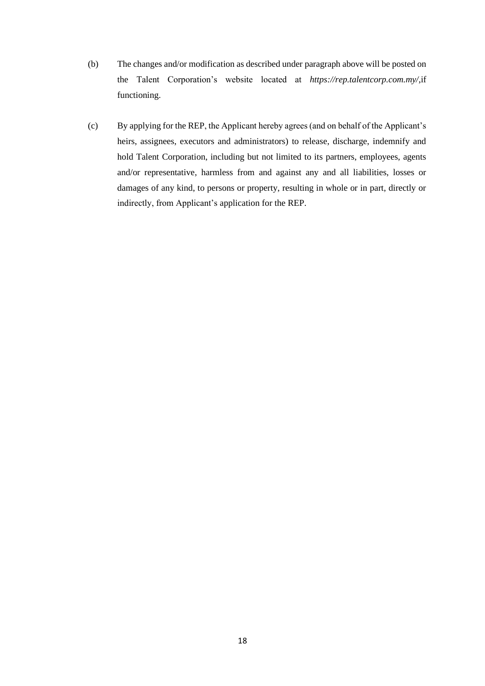- (b) The changes and/or modification as described under paragraph above will be posted on the Talent Corporation's website located at *https://rep.talentcorp.com.my/*,if functioning.
- (c) By applying for the REP, the Applicant hereby agrees (and on behalf of the Applicant's heirs, assignees, executors and administrators) to release, discharge, indemnify and hold Talent Corporation, including but not limited to its partners, employees, agents and/or representative, harmless from and against any and all liabilities, losses or damages of any kind, to persons or property, resulting in whole or in part, directly or indirectly, from Applicant's application for the REP.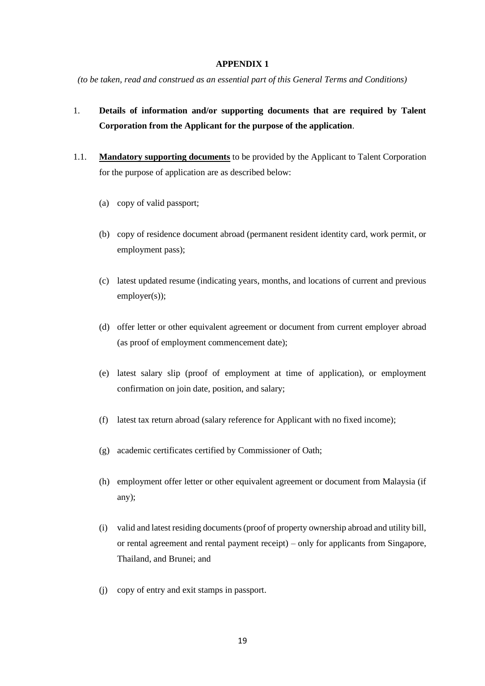#### **APPENDIX 1**

*(to be taken, read and construed as an essential part of this General Terms and Conditions)*

# 1. **Details of information and/or supporting documents that are required by Talent Corporation from the Applicant for the purpose of the application**.

- 1.1. **Mandatory supporting documents** to be provided by the Applicant to Talent Corporation for the purpose of application are as described below:
	- (a) copy of valid passport;
	- (b) copy of residence document abroad (permanent resident identity card, work permit, or employment pass);
	- (c) latest updated resume (indicating years, months, and locations of current and previous employer(s));
	- (d) offer letter or other equivalent agreement or document from current employer abroad (as proof of employment commencement date);
	- (e) latest salary slip (proof of employment at time of application), or employment confirmation on join date, position, and salary;
	- (f) latest tax return abroad (salary reference for Applicant with no fixed income);
	- (g) academic certificates certified by Commissioner of Oath;
	- (h) employment offer letter or other equivalent agreement or document from Malaysia (if any);
	- (i) valid and latest residing documents (proof of property ownership abroad and utility bill, or rental agreement and rental payment receipt) – only for applicants from Singapore, Thailand, and Brunei; and
	- (j) copy of entry and exit stamps in passport.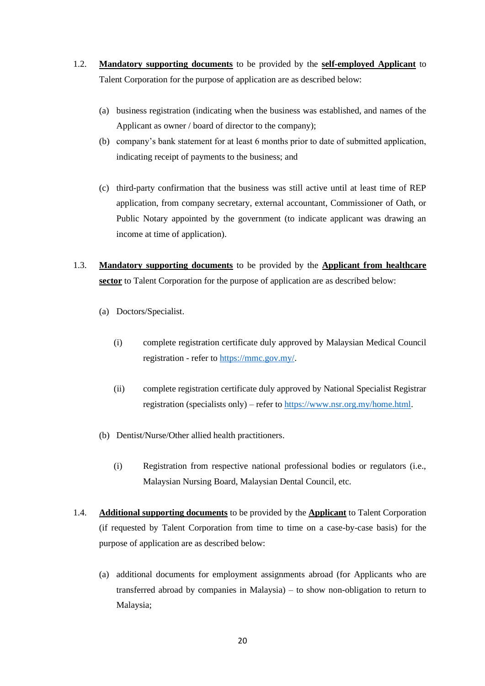- 1.2. **Mandatory supporting documents** to be provided by the **self-employed Applicant** to Talent Corporation for the purpose of application are as described below:
	- (a) business registration (indicating when the business was established, and names of the Applicant as owner / board of director to the company);
	- (b) company's bank statement for at least 6 months prior to date of submitted application, indicating receipt of payments to the business; and
	- (c) third-party confirmation that the business was still active until at least time of REP application, from company secretary, external accountant, Commissioner of Oath, or Public Notary appointed by the government (to indicate applicant was drawing an income at time of application).
- 1.3. **Mandatory supporting documents** to be provided by the **Applicant from healthcare sector** to Talent Corporation for the purpose of application are as described below:
	- (a) Doctors/Specialist.
		- (i) complete registration certificate duly approved by Malaysian Medical Council registration - refer t[o https://mmc.gov.my/.](https://mmc.gov.my/)
		- (ii) complete registration certificate duly approved by National Specialist Registrar registration (specialists only) – refer to [https://www.nsr.org.my/home.html.](https://www.nsr.org.my/home.html)
	- (b) Dentist/Nurse/Other allied health practitioners.
		- (i) Registration from respective national professional bodies or regulators (i.e., Malaysian Nursing Board, Malaysian Dental Council, etc.
- 1.4. **Additional supporting documents** to be provided by the **Applicant** to Talent Corporation (if requested by Talent Corporation from time to time on a case-by-case basis) for the purpose of application are as described below:
	- (a) additional documents for employment assignments abroad (for Applicants who are transferred abroad by companies in Malaysia) – to show non-obligation to return to Malaysia;